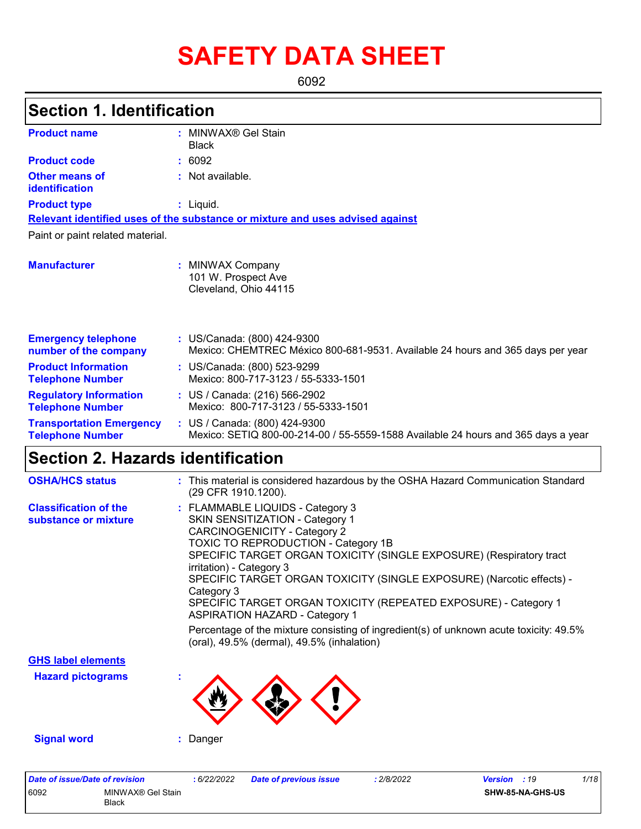# **SAFETY DATA SHEET**

6092

# **Section 1. Identification**

| <b>Product name</b>                                                                                                                                                                                                                                                                                                                                                                                                                                                                                                                                                        |  | <b>Black</b>                                                                      |  |  |
|----------------------------------------------------------------------------------------------------------------------------------------------------------------------------------------------------------------------------------------------------------------------------------------------------------------------------------------------------------------------------------------------------------------------------------------------------------------------------------------------------------------------------------------------------------------------------|--|-----------------------------------------------------------------------------------|--|--|
| <b>Product code</b>                                                                                                                                                                                                                                                                                                                                                                                                                                                                                                                                                        |  |                                                                                   |  |  |
| : MINWAX <sup>®</sup> Gel Stain<br>: 6092<br><b>Other means of</b><br>: Not available.<br>identification<br>: Liquid.<br>Relevant identified uses of the substance or mixture and uses advised against<br>: MINWAX Company<br>101 W. Prospect Ave<br>Cleveland, Ohio 44115<br>: US/Canada: (800) 424-9300<br>Mexico: CHEMTREC México 800-681-9531. Available 24 hours and 365 days per year<br>: US/Canada: (800) 523-9299<br>Mexico: 800-717-3123 / 55-5333-1501<br>: US / Canada: (216) 566-2902<br>Mexico: 800-717-3123 / 55-5333-1501<br>: US / Canada: (800) 424-9300 |  |                                                                                   |  |  |
| <b>Product type</b>                                                                                                                                                                                                                                                                                                                                                                                                                                                                                                                                                        |  |                                                                                   |  |  |
|                                                                                                                                                                                                                                                                                                                                                                                                                                                                                                                                                                            |  |                                                                                   |  |  |
| Paint or paint related material.                                                                                                                                                                                                                                                                                                                                                                                                                                                                                                                                           |  |                                                                                   |  |  |
|                                                                                                                                                                                                                                                                                                                                                                                                                                                                                                                                                                            |  |                                                                                   |  |  |
| <b>Manufacturer</b>                                                                                                                                                                                                                                                                                                                                                                                                                                                                                                                                                        |  |                                                                                   |  |  |
| <b>Emergency telephone</b><br>number of the company                                                                                                                                                                                                                                                                                                                                                                                                                                                                                                                        |  |                                                                                   |  |  |
| <b>Product Information</b><br><b>Telephone Number</b>                                                                                                                                                                                                                                                                                                                                                                                                                                                                                                                      |  |                                                                                   |  |  |
| <b>Regulatory Information</b><br><b>Telephone Number</b>                                                                                                                                                                                                                                                                                                                                                                                                                                                                                                                   |  |                                                                                   |  |  |
| <b>Transportation Emergency</b><br><b>Telephone Number</b>                                                                                                                                                                                                                                                                                                                                                                                                                                                                                                                 |  | Mexico: SETIQ 800-00-214-00 / 55-5559-1588 Available 24 hours and 365 days a year |  |  |

# **Section 2. Hazards identification**

| <b>OSHA/HCS status</b>                               | : This material is considered hazardous by the OSHA Hazard Communication Standard<br>(29 CFR 1910.1200).                                                                                                                                                                                                                                                                                                                                                                                                                                                                                        |
|------------------------------------------------------|-------------------------------------------------------------------------------------------------------------------------------------------------------------------------------------------------------------------------------------------------------------------------------------------------------------------------------------------------------------------------------------------------------------------------------------------------------------------------------------------------------------------------------------------------------------------------------------------------|
| <b>Classification of the</b><br>substance or mixture | : FLAMMABLE LIQUIDS - Category 3<br>SKIN SENSITIZATION - Category 1<br><b>CARCINOGENICITY - Category 2</b><br>TOXIC TO REPRODUCTION - Category 1B<br>SPECIFIC TARGET ORGAN TOXICITY (SINGLE EXPOSURE) (Respiratory tract<br>irritation) - Category 3<br>SPECIFIC TARGET ORGAN TOXICITY (SINGLE EXPOSURE) (Narcotic effects) -<br>Category 3<br>SPECIFIC TARGET ORGAN TOXICITY (REPEATED EXPOSURE) - Category 1<br><b>ASPIRATION HAZARD - Category 1</b><br>Percentage of the mixture consisting of ingredient(s) of unknown acute toxicity: 49.5%<br>(oral), 49.5% (dermal), 49.5% (inhalation) |
| <b>GHS label elements</b>                            |                                                                                                                                                                                                                                                                                                                                                                                                                                                                                                                                                                                                 |
| <b>Hazard pictograms</b>                             |                                                                                                                                                                                                                                                                                                                                                                                                                                                                                                                                                                                                 |
| <b>Signal word</b>                                   | Danger                                                                                                                                                                                                                                                                                                                                                                                                                                                                                                                                                                                          |

| Date of issue/Date of revision |                            | 6/22/2022 | <b>Date of previous issue</b> | 2/8/2022 | <b>Version</b> : 19 |                         | 1/18 |
|--------------------------------|----------------------------|-----------|-------------------------------|----------|---------------------|-------------------------|------|
| 6092                           | MINWAX® Gel Stain<br>Black |           |                               |          |                     | <b>SHW-85-NA-GHS-US</b> |      |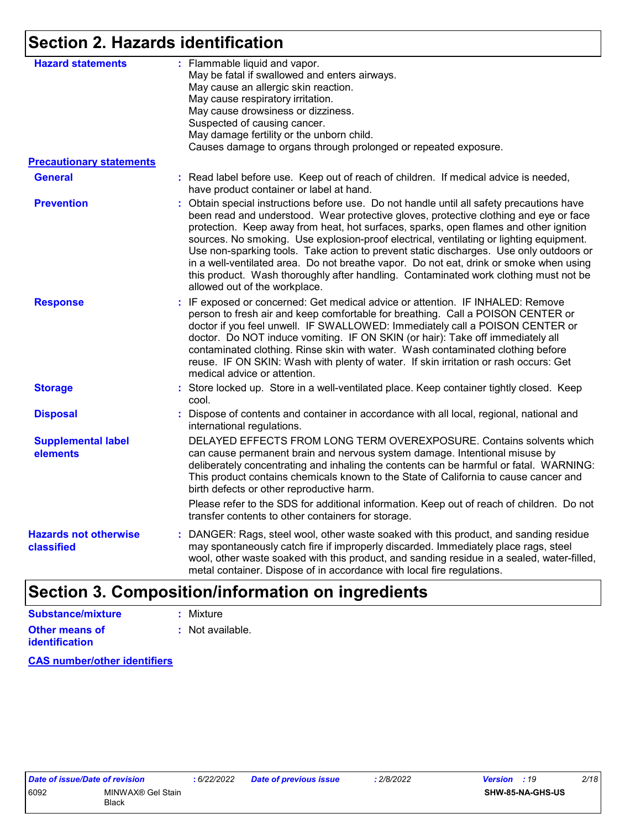### **Section 2. Hazards identification**

| <b>Hazard statements</b>                   | : Flammable liquid and vapor.<br>May be fatal if swallowed and enters airways.<br>May cause an allergic skin reaction.<br>May cause respiratory irritation.<br>May cause drowsiness or dizziness.<br>Suspected of causing cancer.<br>May damage fertility or the unborn child.<br>Causes damage to organs through prolonged or repeated exposure.                                                                                                                                                                                                                                                                                                                                   |
|--------------------------------------------|-------------------------------------------------------------------------------------------------------------------------------------------------------------------------------------------------------------------------------------------------------------------------------------------------------------------------------------------------------------------------------------------------------------------------------------------------------------------------------------------------------------------------------------------------------------------------------------------------------------------------------------------------------------------------------------|
| <b>Precautionary statements</b>            |                                                                                                                                                                                                                                                                                                                                                                                                                                                                                                                                                                                                                                                                                     |
| <b>General</b>                             | : Read label before use. Keep out of reach of children. If medical advice is needed,<br>have product container or label at hand.                                                                                                                                                                                                                                                                                                                                                                                                                                                                                                                                                    |
| <b>Prevention</b>                          | : Obtain special instructions before use. Do not handle until all safety precautions have<br>been read and understood. Wear protective gloves, protective clothing and eye or face<br>protection. Keep away from heat, hot surfaces, sparks, open flames and other ignition<br>sources. No smoking. Use explosion-proof electrical, ventilating or lighting equipment.<br>Use non-sparking tools. Take action to prevent static discharges. Use only outdoors or<br>in a well-ventilated area. Do not breathe vapor. Do not eat, drink or smoke when using<br>this product. Wash thoroughly after handling. Contaminated work clothing must not be<br>allowed out of the workplace. |
| <b>Response</b>                            | : IF exposed or concerned: Get medical advice or attention. IF INHALED: Remove<br>person to fresh air and keep comfortable for breathing. Call a POISON CENTER or<br>doctor if you feel unwell. IF SWALLOWED: Immediately call a POISON CENTER or<br>doctor. Do NOT induce vomiting. IF ON SKIN (or hair): Take off immediately all<br>contaminated clothing. Rinse skin with water. Wash contaminated clothing before<br>reuse. IF ON SKIN: Wash with plenty of water. If skin irritation or rash occurs: Get<br>medical advice or attention.                                                                                                                                      |
| <b>Storage</b>                             | : Store locked up. Store in a well-ventilated place. Keep container tightly closed. Keep<br>cool.                                                                                                                                                                                                                                                                                                                                                                                                                                                                                                                                                                                   |
| <b>Disposal</b>                            | Dispose of contents and container in accordance with all local, regional, national and<br>international regulations.                                                                                                                                                                                                                                                                                                                                                                                                                                                                                                                                                                |
| <b>Supplemental label</b><br>elements      | DELAYED EFFECTS FROM LONG TERM OVEREXPOSURE. Contains solvents which<br>can cause permanent brain and nervous system damage. Intentional misuse by<br>deliberately concentrating and inhaling the contents can be harmful or fatal. WARNING:<br>This product contains chemicals known to the State of California to cause cancer and<br>birth defects or other reproductive harm.                                                                                                                                                                                                                                                                                                   |
|                                            | Please refer to the SDS for additional information. Keep out of reach of children. Do not<br>transfer contents to other containers for storage.                                                                                                                                                                                                                                                                                                                                                                                                                                                                                                                                     |
| <b>Hazards not otherwise</b><br>classified | : DANGER: Rags, steel wool, other waste soaked with this product, and sanding residue<br>may spontaneously catch fire if improperly discarded. Immediately place rags, steel<br>wool, other waste soaked with this product, and sanding residue in a sealed, water-filled,<br>metal container. Dispose of in accordance with local fire regulations.                                                                                                                                                                                                                                                                                                                                |

#### **Other means of identification :** Not available. **Substance/mixture :** Mixture

**CAS number/other identifiers**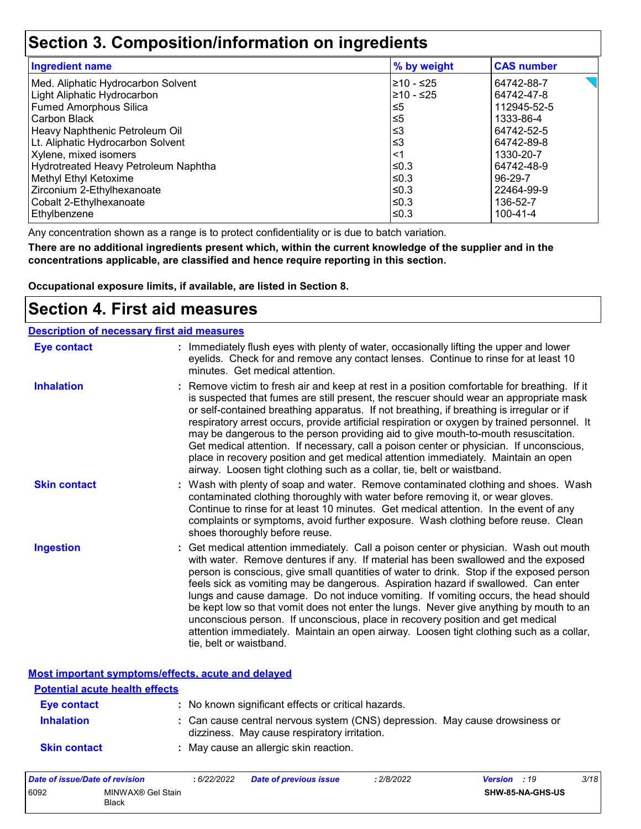### **Section 3. Composition/information on ingredients**

| <b>Ingredient name</b>               | % by weight | <b>CAS number</b> |
|--------------------------------------|-------------|-------------------|
| Med. Aliphatic Hydrocarbon Solvent   | l≥10 - ≤25  | 64742-88-7        |
| Light Aliphatic Hydrocarbon          | l≥10 - ≤25  | 64742-47-8        |
| <b>Fumed Amorphous Silica</b>        | 5≤ا         | 112945-52-5       |
| Carbon Black                         | $\leq 5$    | 1333-86-4         |
| Heavy Naphthenic Petroleum Oil       | ՝≤3         | 64742-52-5        |
| Lt. Aliphatic Hydrocarbon Solvent    | ∣≤3         | 64742-89-8        |
| Xylene, mixed isomers                | <1          | 1330-20-7         |
| Hydrotreated Heavy Petroleum Naphtha | l≤0.3       | 64742-48-9        |
| Methyl Ethyl Ketoxime                | l≤0.3       | 96-29-7           |
| Zirconium 2-Ethylhexanoate           | ≤0.3        | 22464-99-9        |
| Cobalt 2-Ethylhexanoate              | l≤0.3       | 136-52-7          |
| Ethylbenzene                         | l≤0.3       | $100 - 41 - 4$    |

Any concentration shown as a range is to protect confidentiality or is due to batch variation.

**There are no additional ingredients present which, within the current knowledge of the supplier and in the concentrations applicable, are classified and hence require reporting in this section.**

**Occupational exposure limits, if available, are listed in Section 8.**

### **Section 4. First aid measures**

| <b>Description of necessary first aid measures</b> |                                                                                                                                                                                                                                                                                                                                                                                                                                                                                                                                                                                                                                                                                                                                                         |
|----------------------------------------------------|---------------------------------------------------------------------------------------------------------------------------------------------------------------------------------------------------------------------------------------------------------------------------------------------------------------------------------------------------------------------------------------------------------------------------------------------------------------------------------------------------------------------------------------------------------------------------------------------------------------------------------------------------------------------------------------------------------------------------------------------------------|
| <b>Eye contact</b>                                 | : Immediately flush eyes with plenty of water, occasionally lifting the upper and lower<br>eyelids. Check for and remove any contact lenses. Continue to rinse for at least 10<br>minutes. Get medical attention.                                                                                                                                                                                                                                                                                                                                                                                                                                                                                                                                       |
| <b>Inhalation</b>                                  | : Remove victim to fresh air and keep at rest in a position comfortable for breathing. If it<br>is suspected that fumes are still present, the rescuer should wear an appropriate mask<br>or self-contained breathing apparatus. If not breathing, if breathing is irregular or if<br>respiratory arrest occurs, provide artificial respiration or oxygen by trained personnel. It<br>may be dangerous to the person providing aid to give mouth-to-mouth resuscitation.<br>Get medical attention. If necessary, call a poison center or physician. If unconscious,<br>place in recovery position and get medical attention immediately. Maintain an open<br>airway. Loosen tight clothing such as a collar, tie, belt or waistband.                    |
| <b>Skin contact</b>                                | : Wash with plenty of soap and water. Remove contaminated clothing and shoes. Wash<br>contaminated clothing thoroughly with water before removing it, or wear gloves.<br>Continue to rinse for at least 10 minutes. Get medical attention. In the event of any<br>complaints or symptoms, avoid further exposure. Wash clothing before reuse. Clean<br>shoes thoroughly before reuse.                                                                                                                                                                                                                                                                                                                                                                   |
| <b>Ingestion</b>                                   | : Get medical attention immediately. Call a poison center or physician. Wash out mouth<br>with water. Remove dentures if any. If material has been swallowed and the exposed<br>person is conscious, give small quantities of water to drink. Stop if the exposed person<br>feels sick as vomiting may be dangerous. Aspiration hazard if swallowed. Can enter<br>lungs and cause damage. Do not induce vomiting. If vomiting occurs, the head should<br>be kept low so that vomit does not enter the lungs. Never give anything by mouth to an<br>unconscious person. If unconscious, place in recovery position and get medical<br>attention immediately. Maintain an open airway. Loosen tight clothing such as a collar,<br>tie, belt or waistband. |

**Most important symptoms/effects, acute and delayed**

| <b>Potential acute health effects</b> |                                                                                                                              |
|---------------------------------------|------------------------------------------------------------------------------------------------------------------------------|
| <b>Eye contact</b>                    | : No known significant effects or critical hazards.                                                                          |
| <b>Inhalation</b>                     | : Can cause central nervous system (CNS) depression. May cause drowsiness or<br>dizziness. May cause respiratory irritation. |
| <b>Skin contact</b>                   | : May cause an allergic skin reaction.                                                                                       |

| Date of issue/Date of revision |                            | 6/22/2022 | <b>Date of previous issue</b> | : 2/8/2022 | <b>Version</b> : 19 |                  | 3/18 |
|--------------------------------|----------------------------|-----------|-------------------------------|------------|---------------------|------------------|------|
| 6092                           | MINWAX® Gel Stain<br>Black |           |                               |            |                     | SHW-85-NA-GHS-US |      |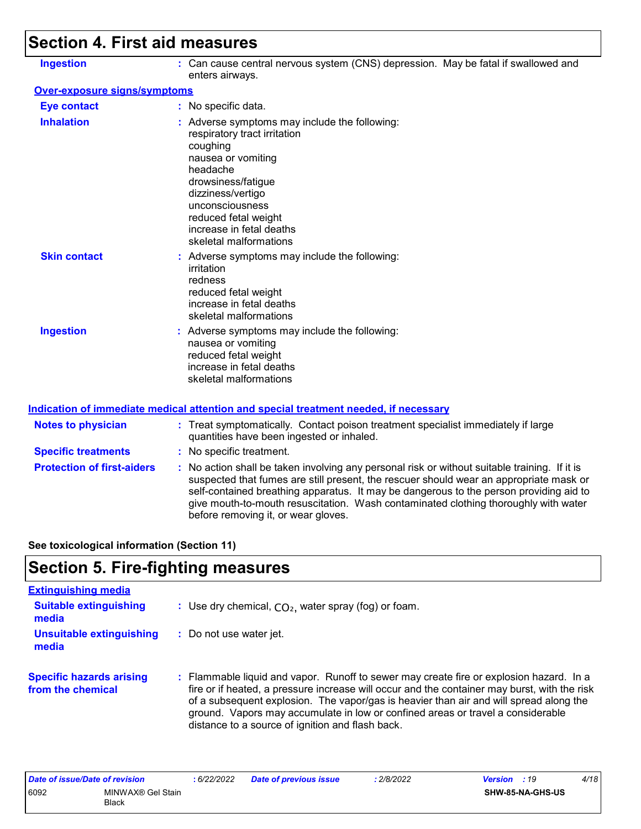# **Section 4. First aid measures**

| <b>Ingestion</b>                    | : Can cause central nervous system (CNS) depression. May be fatal if swallowed and<br>enters airways.                                                                                                                                                                   |
|-------------------------------------|-------------------------------------------------------------------------------------------------------------------------------------------------------------------------------------------------------------------------------------------------------------------------|
| <b>Over-exposure signs/symptoms</b> |                                                                                                                                                                                                                                                                         |
| <b>Eye contact</b>                  | : No specific data.                                                                                                                                                                                                                                                     |
| <b>Inhalation</b>                   | : Adverse symptoms may include the following:<br>respiratory tract irritation<br>coughing<br>nausea or vomiting<br>headache<br>drowsiness/fatigue<br>dizziness/vertigo<br>unconsciousness<br>reduced fetal weight<br>increase in fetal deaths<br>skeletal malformations |
| <b>Skin contact</b>                 | : Adverse symptoms may include the following:<br>irritation<br>redness<br>reduced fetal weight<br>increase in fetal deaths<br>skeletal malformations                                                                                                                    |
| <b>Ingestion</b>                    | : Adverse symptoms may include the following:<br>nausea or vomiting<br>reduced fetal weight<br>increase in fetal deaths<br>skeletal malformations                                                                                                                       |

| <b>Notes to physician</b><br><b>Specific treatments</b> | : Treat symptomatically. Contact poison treatment specialist immediately if large<br>quantities have been ingested or inhaled.<br>: No specific treatment.                                                                                                                                                                                                                                                      |
|---------------------------------------------------------|-----------------------------------------------------------------------------------------------------------------------------------------------------------------------------------------------------------------------------------------------------------------------------------------------------------------------------------------------------------------------------------------------------------------|
| <b>Protection of first-aiders</b>                       | : No action shall be taken involving any personal risk or without suitable training. If it is<br>suspected that fumes are still present, the rescuer should wear an appropriate mask or<br>self-contained breathing apparatus. It may be dangerous to the person providing aid to<br>give mouth-to-mouth resuscitation. Wash contaminated clothing thoroughly with water<br>before removing it, or wear gloves. |

**See toxicological information (Section 11)**

## **Section 5. Fire-fighting measures**

| <b>Extinguishing media</b>                           |                                                                                                                                                                                                                                                                                                                                                                                                                          |
|------------------------------------------------------|--------------------------------------------------------------------------------------------------------------------------------------------------------------------------------------------------------------------------------------------------------------------------------------------------------------------------------------------------------------------------------------------------------------------------|
| <b>Suitable extinguishing</b><br>media               | : Use dry chemical, $CO2$ , water spray (fog) or foam.                                                                                                                                                                                                                                                                                                                                                                   |
| <b>Unsuitable extinguishing</b><br>media             | : Do not use water jet.                                                                                                                                                                                                                                                                                                                                                                                                  |
| <b>Specific hazards arising</b><br>from the chemical | : Flammable liquid and vapor. Runoff to sewer may create fire or explosion hazard. In a<br>fire or if heated, a pressure increase will occur and the container may burst, with the risk<br>of a subsequent explosion. The vapor/gas is heavier than air and will spread along the<br>ground. Vapors may accumulate in low or confined areas or travel a considerable<br>distance to a source of ignition and flash back. |

| Date of issue/Date of revision |                                   | 6/22/2022 | <b>Date of previous issue</b> | 2/8/2022 | <b>Version</b> : 19 |                         | 4/18 |
|--------------------------------|-----------------------------------|-----------|-------------------------------|----------|---------------------|-------------------------|------|
| 6092                           | MINWAX® Gel Stain<br><b>Black</b> |           |                               |          |                     | <b>SHW-85-NA-GHS-US</b> |      |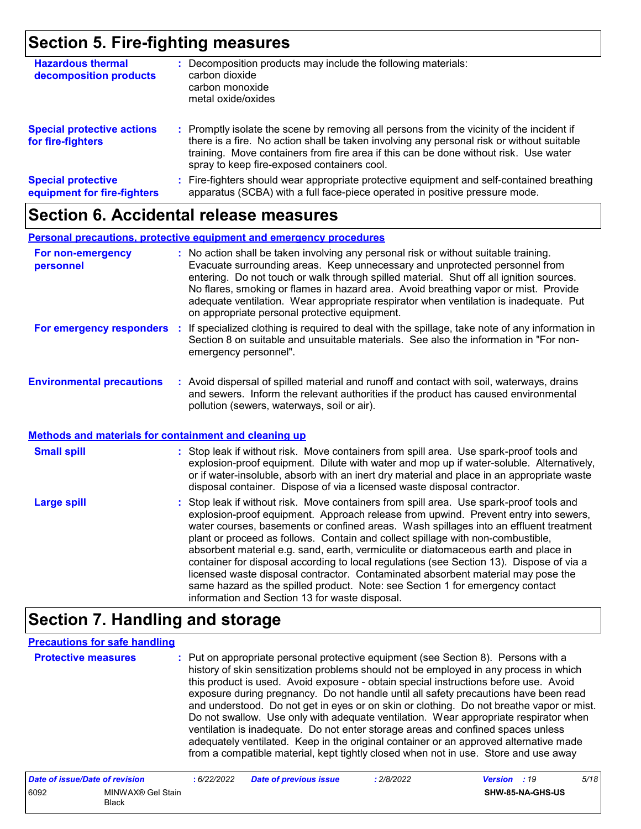### **Section 5. Fire-fighting measures**

| <b>Hazardous thermal</b><br>decomposition products       | : Decomposition products may include the following materials:<br>carbon dioxide<br>carbon monoxide<br>metal oxide/oxides                                                                                                                                                                                                      |
|----------------------------------------------------------|-------------------------------------------------------------------------------------------------------------------------------------------------------------------------------------------------------------------------------------------------------------------------------------------------------------------------------|
| <b>Special protective actions</b><br>for fire-fighters   | : Promptly isolate the scene by removing all persons from the vicinity of the incident if<br>there is a fire. No action shall be taken involving any personal risk or without suitable<br>training. Move containers from fire area if this can be done without risk. Use water<br>spray to keep fire-exposed containers cool. |
| <b>Special protective</b><br>equipment for fire-fighters | : Fire-fighters should wear appropriate protective equipment and self-contained breathing<br>apparatus (SCBA) with a full face-piece operated in positive pressure mode.                                                                                                                                                      |

### **Section 6. Accidental release measures**

#### **Personal precautions, protective equipment and emergency procedures**

| For non-emergency<br>personnel |    | : No action shall be taken involving any personal risk or without suitable training.<br>Evacuate surrounding areas. Keep unnecessary and unprotected personnel from<br>entering. Do not touch or walk through spilled material. Shut off all ignition sources.<br>No flares, smoking or flames in hazard area. Avoid breathing vapor or mist. Provide<br>adequate ventilation. Wear appropriate respirator when ventilation is inadequate. Put<br>on appropriate personal protective equipment. |
|--------------------------------|----|-------------------------------------------------------------------------------------------------------------------------------------------------------------------------------------------------------------------------------------------------------------------------------------------------------------------------------------------------------------------------------------------------------------------------------------------------------------------------------------------------|
| For emergency responders       | ÷. | If specialized clothing is required to deal with the spillage, take note of any information in<br>Section 8 on suitable and unsuitable materials. See also the information in "For non-<br>emergency personnel".                                                                                                                                                                                                                                                                                |

#### **Environmental precautions :** Avoid dispersal of spilled material and runoff and contact with soil, waterways, drains and sewers. Inform the relevant authorities if the product has caused environmental pollution (sewers, waterways, soil or air).

#### **Methods and materials for containment and cleaning up**

| <b>Small spill</b> | : Stop leak if without risk. Move containers from spill area. Use spark-proof tools and<br>explosion-proof equipment. Dilute with water and mop up if water-soluble. Alternatively,<br>or if water-insoluble, absorb with an inert dry material and place in an appropriate waste<br>disposal container. Dispose of via a licensed waste disposal contractor.                                                                                                                                                                                                                                                                                                                                                                                                        |
|--------------------|----------------------------------------------------------------------------------------------------------------------------------------------------------------------------------------------------------------------------------------------------------------------------------------------------------------------------------------------------------------------------------------------------------------------------------------------------------------------------------------------------------------------------------------------------------------------------------------------------------------------------------------------------------------------------------------------------------------------------------------------------------------------|
| <b>Large spill</b> | : Stop leak if without risk. Move containers from spill area. Use spark-proof tools and<br>explosion-proof equipment. Approach release from upwind. Prevent entry into sewers,<br>water courses, basements or confined areas. Wash spillages into an effluent treatment<br>plant or proceed as follows. Contain and collect spillage with non-combustible,<br>absorbent material e.g. sand, earth, vermiculite or diatomaceous earth and place in<br>container for disposal according to local regulations (see Section 13). Dispose of via a<br>licensed waste disposal contractor. Contaminated absorbent material may pose the<br>same hazard as the spilled product. Note: see Section 1 for emergency contact<br>information and Section 13 for waste disposal. |

### **Section 7. Handling and storage**

#### **Precautions for safe handling**

**Protective measures :** Put on appropriate personal protective equipment (see Section 8). Persons with a history of skin sensitization problems should not be employed in any process in which this product is used. Avoid exposure - obtain special instructions before use. Avoid exposure during pregnancy. Do not handle until all safety precautions have been read and understood. Do not get in eyes or on skin or clothing. Do not breathe vapor or mist. Do not swallow. Use only with adequate ventilation. Wear appropriate respirator when ventilation is inadequate. Do not enter storage areas and confined spaces unless adequately ventilated. Keep in the original container or an approved alternative made from a compatible material, kept tightly closed when not in use. Store and use away

| Date of issue/Date of revision |                            | : 6/22/2022 | <b>Date of previous issue</b> | 2/8/2022 | <b>Version</b> : 19 |                         | 5/18 |
|--------------------------------|----------------------------|-------------|-------------------------------|----------|---------------------|-------------------------|------|
| 6092                           | MINWAX® Gel Stain<br>Black |             |                               |          |                     | <b>SHW-85-NA-GHS-US</b> |      |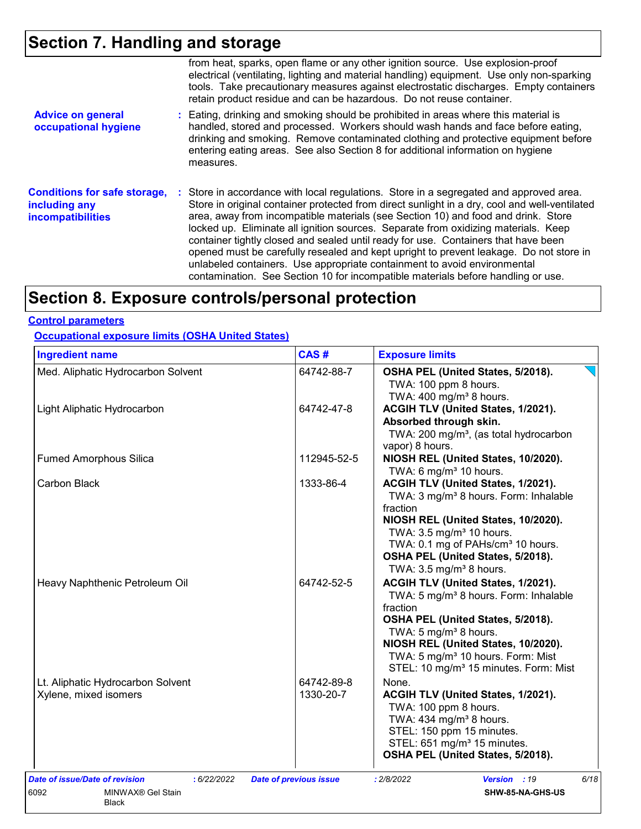# **Section 7. Handling and storage**

|                                                                                  | from heat, sparks, open flame or any other ignition source. Use explosion-proof<br>electrical (ventilating, lighting and material handling) equipment. Use only non-sparking<br>tools. Take precautionary measures against electrostatic discharges. Empty containers<br>retain product residue and can be hazardous. Do not reuse container.                                                                                                                                                                                                                                                                                                                                                                      |
|----------------------------------------------------------------------------------|--------------------------------------------------------------------------------------------------------------------------------------------------------------------------------------------------------------------------------------------------------------------------------------------------------------------------------------------------------------------------------------------------------------------------------------------------------------------------------------------------------------------------------------------------------------------------------------------------------------------------------------------------------------------------------------------------------------------|
| <b>Advice on general</b><br>occupational hygiene                                 | : Eating, drinking and smoking should be prohibited in areas where this material is<br>handled, stored and processed. Workers should wash hands and face before eating,<br>drinking and smoking. Remove contaminated clothing and protective equipment before<br>entering eating areas. See also Section 8 for additional information on hygiene<br>measures.                                                                                                                                                                                                                                                                                                                                                      |
| <b>Conditions for safe storage,</b><br>including any<br><b>incompatibilities</b> | : Store in accordance with local regulations. Store in a segregated and approved area.<br>Store in original container protected from direct sunlight in a dry, cool and well-ventilated<br>area, away from incompatible materials (see Section 10) and food and drink. Store<br>locked up. Eliminate all ignition sources. Separate from oxidizing materials. Keep<br>container tightly closed and sealed until ready for use. Containers that have been<br>opened must be carefully resealed and kept upright to prevent leakage. Do not store in<br>unlabeled containers. Use appropriate containment to avoid environmental<br>contamination. See Section 10 for incompatible materials before handling or use. |

# **Section 8. Exposure controls/personal protection**

### **Control parameters**

**Occupational exposure limits (OSHA United States)**

| Med. Aliphatic Hydrocarbon Solvent<br>Light Aliphatic Hydrocarbon | 64742-88-7<br>64742-47-8 | OSHA PEL (United States, 5/2018).<br>TWA: 100 ppm 8 hours.<br>TWA: 400 mg/m <sup>3</sup> 8 hours.<br>ACGIH TLV (United States, 1/2021).                                                                                                                                                                                    |
|-------------------------------------------------------------------|--------------------------|----------------------------------------------------------------------------------------------------------------------------------------------------------------------------------------------------------------------------------------------------------------------------------------------------------------------------|
|                                                                   |                          |                                                                                                                                                                                                                                                                                                                            |
|                                                                   |                          | Absorbed through skin.<br>TWA: 200 mg/m <sup>3</sup> , (as total hydrocarbon                                                                                                                                                                                                                                               |
| <b>Fumed Amorphous Silica</b>                                     | 112945-52-5              | vapor) 8 hours.<br>NIOSH REL (United States, 10/2020).<br>TWA: 6 mg/m <sup>3</sup> 10 hours.                                                                                                                                                                                                                               |
| Carbon Black                                                      | 1333-86-4                | ACGIH TLV (United States, 1/2021).<br>TWA: 3 mg/m <sup>3</sup> 8 hours. Form: Inhalable<br>fraction<br>NIOSH REL (United States, 10/2020).<br>TWA: 3.5 mg/m <sup>3</sup> 10 hours.<br>TWA: 0.1 mg of PAHs/cm <sup>3</sup> 10 hours.<br>OSHA PEL (United States, 5/2018).<br>TWA: $3.5 \text{ mg/m}^3$ 8 hours.             |
| Heavy Naphthenic Petroleum Oil                                    | 64742-52-5               | ACGIH TLV (United States, 1/2021).<br>TWA: 5 mg/m <sup>3</sup> 8 hours. Form: Inhalable<br>fraction<br>OSHA PEL (United States, 5/2018).<br>TWA: 5 mg/m <sup>3</sup> 8 hours.<br>NIOSH REL (United States, 10/2020).<br>TWA: 5 mg/m <sup>3</sup> 10 hours. Form: Mist<br>STEL: 10 mg/m <sup>3</sup> 15 minutes. Form: Mist |
| Lt. Aliphatic Hydrocarbon Solvent<br>Xylene, mixed isomers        | 64742-89-8<br>1330-20-7  | None.<br>ACGIH TLV (United States, 1/2021).<br>TWA: 100 ppm 8 hours.<br>TWA: 434 mg/m <sup>3</sup> 8 hours.<br>STEL: 150 ppm 15 minutes.<br>STEL: 651 mg/m <sup>3</sup> 15 minutes.<br>OSHA PEL (United States, 5/2018).                                                                                                   |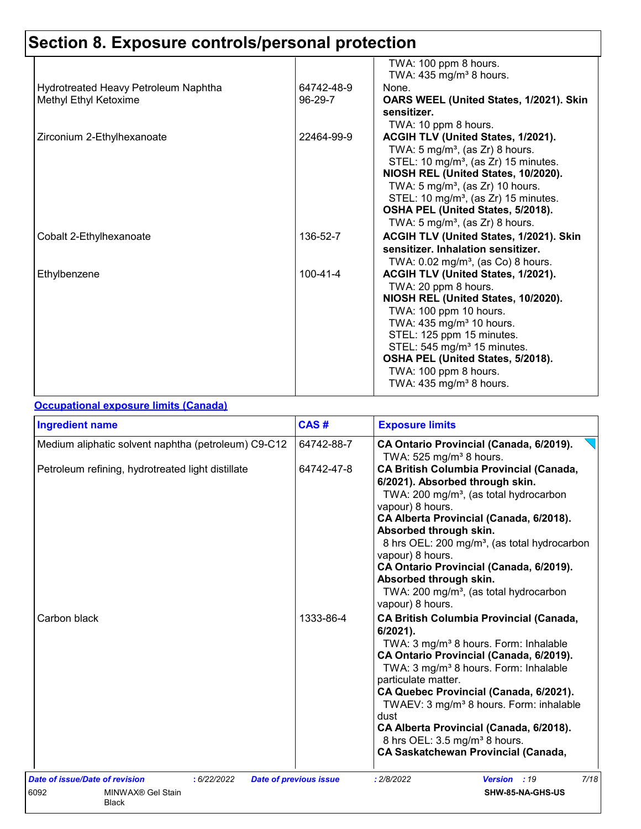|                                      |                | TWA: 100 ppm 8 hours.<br>TWA: $435 \text{ mg/m}^3$ 8 hours. |
|--------------------------------------|----------------|-------------------------------------------------------------|
| Hydrotreated Heavy Petroleum Naphtha | 64742-48-9     | None.                                                       |
| Methyl Ethyl Ketoxime                | $96-29-7$      | OARS WEEL (United States, 1/2021). Skin                     |
|                                      |                | sensitizer.                                                 |
|                                      |                | TWA: 10 ppm 8 hours.                                        |
| Zirconium 2-Ethylhexanoate           | 22464-99-9     | ACGIH TLV (United States, 1/2021).                          |
|                                      |                | TWA: 5 mg/m <sup>3</sup> , (as Zr) 8 hours.                 |
|                                      |                | STEL: 10 mg/m <sup>3</sup> , (as Zr) 15 minutes.            |
|                                      |                | NIOSH REL (United States, 10/2020).                         |
|                                      |                | TWA: $5 \text{ mg/m}^3$ , (as Zr) 10 hours.                 |
|                                      |                | STEL: 10 mg/m <sup>3</sup> , (as Zr) 15 minutes.            |
|                                      |                | OSHA PEL (United States, 5/2018).                           |
|                                      |                | TWA: 5 mg/m <sup>3</sup> , (as Zr) 8 hours.                 |
| Cobalt 2-Ethylhexanoate              | 136-52-7       | ACGIH TLV (United States, 1/2021). Skin                     |
|                                      |                | sensitizer. Inhalation sensitizer.                          |
|                                      |                | TWA: $0.02$ mg/m <sup>3</sup> , (as Co) 8 hours.            |
| Ethylbenzene                         | $100 - 41 - 4$ | ACGIH TLV (United States, 1/2021).                          |
|                                      |                | TWA: 20 ppm 8 hours.                                        |
|                                      |                | NIOSH REL (United States, 10/2020).                         |
|                                      |                | TWA: 100 ppm 10 hours.                                      |
|                                      |                | TWA: $435 \text{ mg/m}^3$ 10 hours.                         |
|                                      |                | STEL: 125 ppm 15 minutes.                                   |
|                                      |                | STEL: 545 mg/m <sup>3</sup> 15 minutes.                     |
|                                      |                | OSHA PEL (United States, 5/2018).                           |
|                                      |                | TWA: 100 ppm 8 hours.                                       |
|                                      |                | TWA: $435 \text{ mg/m}^3$ 8 hours.                          |

### **Occupational exposure limits (Canada)**

| <b>Ingredient name</b>                                |             | CAS#                          | <b>Exposure limits</b>                                                                                                                                                                                                                                                                                                                                                                                                                                                                   |  |  |
|-------------------------------------------------------|-------------|-------------------------------|------------------------------------------------------------------------------------------------------------------------------------------------------------------------------------------------------------------------------------------------------------------------------------------------------------------------------------------------------------------------------------------------------------------------------------------------------------------------------------------|--|--|
| Medium aliphatic solvent naphtha (petroleum) C9-C12   |             | 64742-88-7                    | CA Ontario Provincial (Canada, 6/2019).<br>TWA: 525 mg/m <sup>3</sup> 8 hours.                                                                                                                                                                                                                                                                                                                                                                                                           |  |  |
| Petroleum refining, hydrotreated light distillate     |             | 64742-47-8                    | <b>CA British Columbia Provincial (Canada,</b><br>6/2021). Absorbed through skin.<br>TWA: 200 mg/m <sup>3</sup> , (as total hydrocarbon<br>vapour) 8 hours.<br>CA Alberta Provincial (Canada, 6/2018).<br>Absorbed through skin.<br>8 hrs OEL: 200 mg/m <sup>3</sup> , (as total hydrocarbon<br>vapour) 8 hours.<br>CA Ontario Provincial (Canada, 6/2019).<br>Absorbed through skin.<br>TWA: 200 mg/m <sup>3</sup> , (as total hydrocarbon<br>vapour) 8 hours.                          |  |  |
| Carbon black                                          |             | 1333-86-4                     | <b>CA British Columbia Provincial (Canada,</b><br>$6/2021$ ).<br>TWA: 3 mg/m <sup>3</sup> 8 hours. Form: Inhalable<br>CA Ontario Provincial (Canada, 6/2019).<br>TWA: 3 mg/m <sup>3</sup> 8 hours. Form: Inhalable<br>particulate matter.<br>CA Quebec Provincial (Canada, 6/2021).<br>TWAEV: 3 mg/m <sup>3</sup> 8 hours. Form: inhalable<br>dust<br>CA Alberta Provincial (Canada, 6/2018).<br>8 hrs OEL: 3.5 mg/m <sup>3</sup> 8 hours.<br><b>CA Saskatchewan Provincial (Canada,</b> |  |  |
| Date of issue/Date of revision                        | : 6/22/2022 | <b>Date of previous issue</b> | 7/18<br>: 2/8/2022<br>Version : 19                                                                                                                                                                                                                                                                                                                                                                                                                                                       |  |  |
| 6092<br>MINWAX <sup>®</sup> Gel Stain<br><b>Black</b> |             |                               | SHW-85-NA-GHS-US                                                                                                                                                                                                                                                                                                                                                                                                                                                                         |  |  |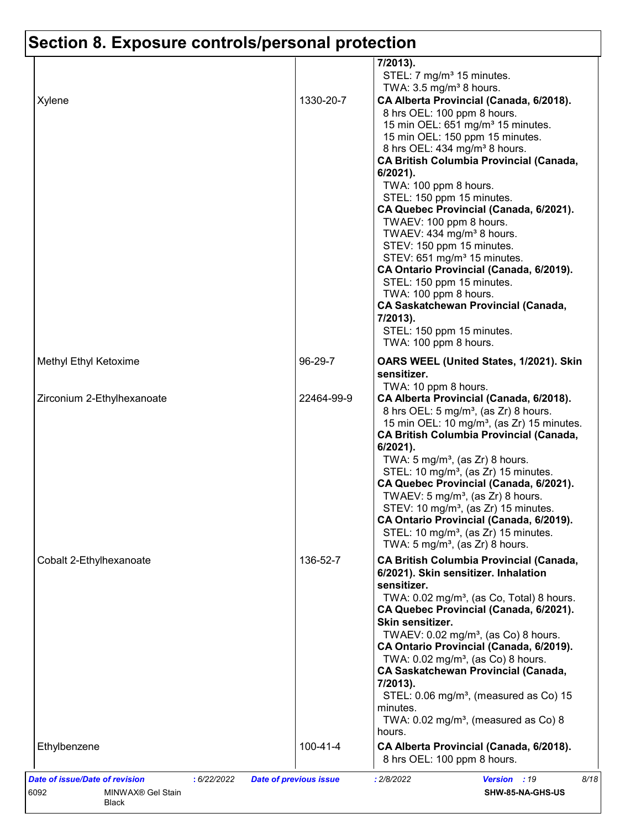|                            |            | 7/2013).<br>STEL: 7 mg/m <sup>3</sup> 15 minutes.                                                                                                                                                                                                                                                                                                                                                                                                                                                                                                                                                                                                                                                                                                                        |
|----------------------------|------------|--------------------------------------------------------------------------------------------------------------------------------------------------------------------------------------------------------------------------------------------------------------------------------------------------------------------------------------------------------------------------------------------------------------------------------------------------------------------------------------------------------------------------------------------------------------------------------------------------------------------------------------------------------------------------------------------------------------------------------------------------------------------------|
| Xylene                     | 1330-20-7  | TWA: $3.5 \text{ mg/m}^3$ 8 hours.<br>CA Alberta Provincial (Canada, 6/2018).<br>8 hrs OEL: 100 ppm 8 hours.<br>15 min OEL: 651 mg/m <sup>3</sup> 15 minutes.<br>15 min OEL: 150 ppm 15 minutes.<br>8 hrs OEL: 434 mg/m <sup>3</sup> 8 hours.<br><b>CA British Columbia Provincial (Canada,</b><br>6/2021).<br>TWA: 100 ppm 8 hours.<br>STEL: 150 ppm 15 minutes.<br>CA Quebec Provincial (Canada, 6/2021).<br>TWAEV: 100 ppm 8 hours.<br>TWAEV: 434 mg/m <sup>3</sup> 8 hours.<br>STEV: 150 ppm 15 minutes.<br>STEV: 651 mg/m <sup>3</sup> 15 minutes.<br>CA Ontario Provincial (Canada, 6/2019).<br>STEL: 150 ppm 15 minutes.<br>TWA: 100 ppm 8 hours.<br><b>CA Saskatchewan Provincial (Canada,</b><br>7/2013).<br>STEL: 150 ppm 15 minutes.<br>TWA: 100 ppm 8 hours. |
| Methyl Ethyl Ketoxime      | 96-29-7    | OARS WEEL (United States, 1/2021). Skin<br>sensitizer.                                                                                                                                                                                                                                                                                                                                                                                                                                                                                                                                                                                                                                                                                                                   |
| Zirconium 2-Ethylhexanoate | 22464-99-9 | TWA: 10 ppm 8 hours.<br>CA Alberta Provincial (Canada, 6/2018).<br>8 hrs OEL: 5 mg/m <sup>3</sup> , (as Zr) 8 hours.<br>15 min OEL: 10 mg/m <sup>3</sup> , (as Zr) 15 minutes.<br><b>CA British Columbia Provincial (Canada,</b><br>$6/2021$ ).<br>TWA: $5 \text{ mg/m}^3$ , (as Zr) 8 hours.<br>STEL: 10 mg/m <sup>3</sup> , (as Zr) 15 minutes.<br>CA Quebec Provincial (Canada, 6/2021).<br>TWAEV: 5 mg/m <sup>3</sup> , (as Zr) 8 hours.<br>STEV: 10 mg/m <sup>3</sup> , (as Zr) 15 minutes.<br>CA Ontario Provincial (Canada, 6/2019).<br>STEL: 10 mg/m <sup>3</sup> , (as Zr) 15 minutes.<br>TWA: $5 \text{ mg/m}^3$ , (as Zr) 8 hours.                                                                                                                            |
| Cobalt 2-Ethylhexanoate    | 136-52-7   | <b>CA British Columbia Provincial (Canada,</b><br>6/2021). Skin sensitizer. Inhalation<br>sensitizer.<br>TWA: 0.02 mg/m <sup>3</sup> , (as Co, Total) 8 hours.<br>CA Quebec Provincial (Canada, 6/2021).<br>Skin sensitizer.<br>TWAEV: $0.02$ mg/m <sup>3</sup> , (as Co) 8 hours.<br>CA Ontario Provincial (Canada, 6/2019).<br>TWA: 0.02 mg/m <sup>3</sup> , (as Co) 8 hours.<br><b>CA Saskatchewan Provincial (Canada,</b><br>7/2013).<br>STEL: 0.06 mg/m <sup>3</sup> , (measured as Co) 15<br>minutes.<br>TWA: $0.02$ mg/m <sup>3</sup> , (measured as Co) 8<br>hours.                                                                                                                                                                                              |
| Ethylbenzene               | 100-41-4   | CA Alberta Provincial (Canada, 6/2018).                                                                                                                                                                                                                                                                                                                                                                                                                                                                                                                                                                                                                                                                                                                                  |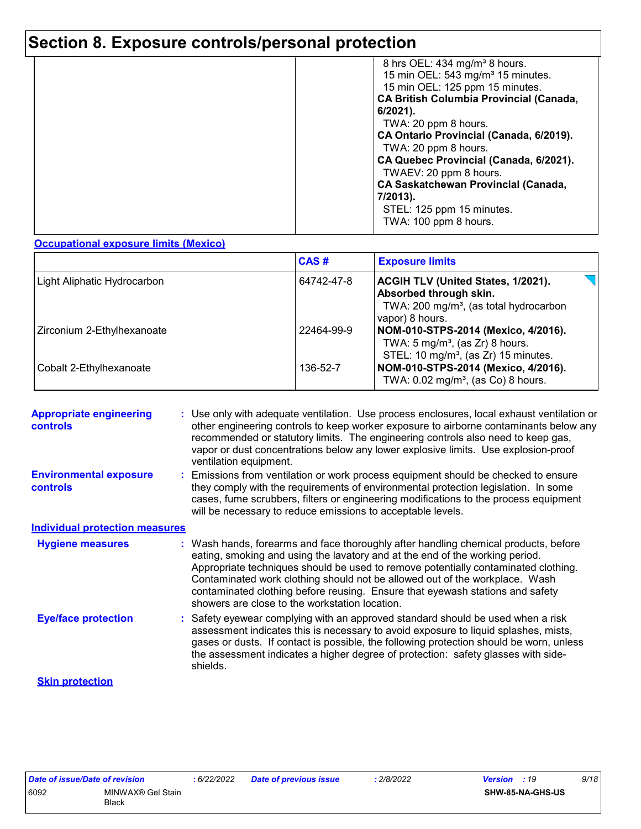| 8 hrs OEL: 434 mg/m <sup>3</sup> 8 hours.      |
|------------------------------------------------|
| 15 min OEL: 543 mg/m <sup>3</sup> 15 minutes.  |
| 15 min OEL: 125 ppm 15 minutes.                |
| <b>CA British Columbia Provincial (Canada,</b> |
| 6/2021).                                       |
| TWA: 20 ppm 8 hours.                           |
| CA Ontario Provincial (Canada, 6/2019).        |
| TWA: 20 ppm 8 hours.                           |
| CA Quebec Provincial (Canada, 6/2021).         |
| TWAEV: 20 ppm 8 hours.                         |
|                                                |
| <b>CA Saskatchewan Provincial (Canada,</b>     |
| 7/2013).                                       |
| STEL: 125 ppm 15 minutes.                      |
| TWA: 100 ppm 8 hours.                          |
|                                                |

#### **Occupational exposure limits (Mexico)**

|                             | CAS#       | <b>Exposure limits</b>                                                                                                                       |
|-----------------------------|------------|----------------------------------------------------------------------------------------------------------------------------------------------|
| Light Aliphatic Hydrocarbon | 64742-47-8 | <b>ACGIH TLV (United States, 1/2021).</b><br>Absorbed through skin.<br>TWA: 200 mg/m <sup>3</sup> , (as total hydrocarbon<br>vapor) 8 hours. |
| Zirconium 2-Ethylhexanoate  | 22464-99-9 | NOM-010-STPS-2014 (Mexico, 4/2016).<br>TWA: $5 \text{ mg/m}^3$ , (as Zr) 8 hours.<br>STEL: 10 mg/m <sup>3</sup> , (as Zr) 15 minutes.        |
| Cobalt 2-Ethylhexanoate     | 136-52-7   | NOM-010-STPS-2014 (Mexico, 4/2016).<br>TWA: $0.02$ mg/m <sup>3</sup> , (as Co) 8 hours.                                                      |

| <b>Appropriate engineering</b><br><b>controls</b> | : Use only with adequate ventilation. Use process enclosures, local exhaust ventilation or<br>other engineering controls to keep worker exposure to airborne contaminants below any<br>recommended or statutory limits. The engineering controls also need to keep gas,<br>vapor or dust concentrations below any lower explosive limits. Use explosion-proof<br>ventilation equipment.                                                                                     |
|---------------------------------------------------|-----------------------------------------------------------------------------------------------------------------------------------------------------------------------------------------------------------------------------------------------------------------------------------------------------------------------------------------------------------------------------------------------------------------------------------------------------------------------------|
| <b>Environmental exposure</b><br><b>controls</b>  | : Emissions from ventilation or work process equipment should be checked to ensure<br>they comply with the requirements of environmental protection legislation. In some<br>cases, fume scrubbers, filters or engineering modifications to the process equipment<br>will be necessary to reduce emissions to acceptable levels.                                                                                                                                             |
| <b>Individual protection measures</b>             |                                                                                                                                                                                                                                                                                                                                                                                                                                                                             |
| <b>Hygiene measures</b>                           | : Wash hands, forearms and face thoroughly after handling chemical products, before<br>eating, smoking and using the lavatory and at the end of the working period.<br>Appropriate techniques should be used to remove potentially contaminated clothing.<br>Contaminated work clothing should not be allowed out of the workplace. Wash<br>contaminated clothing before reusing. Ensure that eyewash stations and safety<br>showers are close to the workstation location. |
| <b>Eye/face protection</b>                        | : Safety eyewear complying with an approved standard should be used when a risk<br>assessment indicates this is necessary to avoid exposure to liquid splashes, mists,<br>gases or dusts. If contact is possible, the following protection should be worn, unless<br>the assessment indicates a higher degree of protection: safety glasses with side-<br>shields.                                                                                                          |
| <b>Skin protection</b>                            |                                                                                                                                                                                                                                                                                                                                                                                                                                                                             |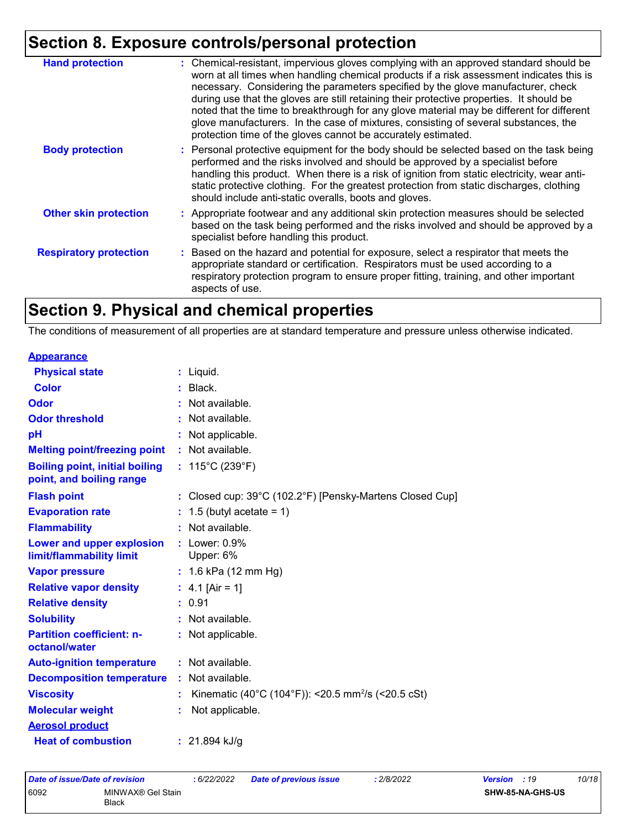| <b>Hand protection</b>        | : Chemical-resistant, impervious gloves complying with an approved standard should be<br>worn at all times when handling chemical products if a risk assessment indicates this is<br>necessary. Considering the parameters specified by the glove manufacturer, check<br>during use that the gloves are still retaining their protective properties. It should be<br>noted that the time to breakthrough for any glove material may be different for different<br>glove manufacturers. In the case of mixtures, consisting of several substances, the<br>protection time of the gloves cannot be accurately estimated. |
|-------------------------------|------------------------------------------------------------------------------------------------------------------------------------------------------------------------------------------------------------------------------------------------------------------------------------------------------------------------------------------------------------------------------------------------------------------------------------------------------------------------------------------------------------------------------------------------------------------------------------------------------------------------|
| <b>Body protection</b>        | : Personal protective equipment for the body should be selected based on the task being<br>performed and the risks involved and should be approved by a specialist before<br>handling this product. When there is a risk of ignition from static electricity, wear anti-<br>static protective clothing. For the greatest protection from static discharges, clothing<br>should include anti-static overalls, boots and gloves.                                                                                                                                                                                         |
| <b>Other skin protection</b>  | : Appropriate footwear and any additional skin protection measures should be selected<br>based on the task being performed and the risks involved and should be approved by a<br>specialist before handling this product.                                                                                                                                                                                                                                                                                                                                                                                              |
| <b>Respiratory protection</b> | : Based on the hazard and potential for exposure, select a respirator that meets the<br>appropriate standard or certification. Respirators must be used according to a<br>respiratory protection program to ensure proper fitting, training, and other important<br>aspects of use.                                                                                                                                                                                                                                                                                                                                    |

# **Section 9. Physical and chemical properties**

The conditions of measurement of all properties are at standard temperature and pressure unless otherwise indicated.

| <b>Appearance</b>                                                 |                                                                |
|-------------------------------------------------------------------|----------------------------------------------------------------|
| <b>Physical state</b>                                             | $:$ Liquid.                                                    |
| Color                                                             | $:$ Black.                                                     |
| Odor                                                              | : Not available.                                               |
| <b>Odor threshold</b>                                             | Not available.                                                 |
| рH                                                                | Not applicable.                                                |
| <b>Melting point/freezing point</b>                               | : Not available.                                               |
| <b>Boiling point, initial boiling</b><br>point, and boiling range | : $115^{\circ}$ C (239 $^{\circ}$ F)                           |
| <b>Flash point</b>                                                | : Closed cup: 39°C (102.2°F) [Pensky-Martens Closed Cup]       |
| <b>Evaporation rate</b>                                           | 1.5 (butyl acetate = 1)                                        |
| <b>Flammability</b>                                               | : Not available.                                               |
| Lower and upper explosion<br>limit/flammability limit             | $:$ Lower: $0.9\%$<br>Upper: 6%                                |
| <b>Vapor pressure</b>                                             | : $1.6$ kPa (12 mm Hg)                                         |
| <b>Relative vapor density</b>                                     | : $4.1$ [Air = 1]                                              |
| <b>Relative density</b>                                           | : 0.91                                                         |
| <b>Solubility</b>                                                 | Not available.                                                 |
| <b>Partition coefficient: n-</b><br>octanol/water                 | : Not applicable.                                              |
| <b>Auto-ignition temperature</b>                                  | : Not available.                                               |
| <b>Decomposition temperature</b>                                  | Not available.                                                 |
| <b>Viscosity</b>                                                  | Kinematic (40°C (104°F)): <20.5 mm <sup>2</sup> /s (<20.5 cSt) |
| <b>Molecular weight</b>                                           | Not applicable.                                                |
| <b>Aerosol product</b>                                            |                                                                |
| <b>Heat of combustion</b>                                         | : $21.894$ kJ/g                                                |

| Date of issue/Date of revision |                                   | : 6/22/2022 | <b>Date of previous issue</b> | 2/8/2022 | <b>Version</b> : 19 |                  | 10/18 |
|--------------------------------|-----------------------------------|-------------|-------------------------------|----------|---------------------|------------------|-------|
| 6092                           | MINWAX® Gel Stain<br><b>Black</b> |             |                               |          |                     | SHW-85-NA-GHS-US |       |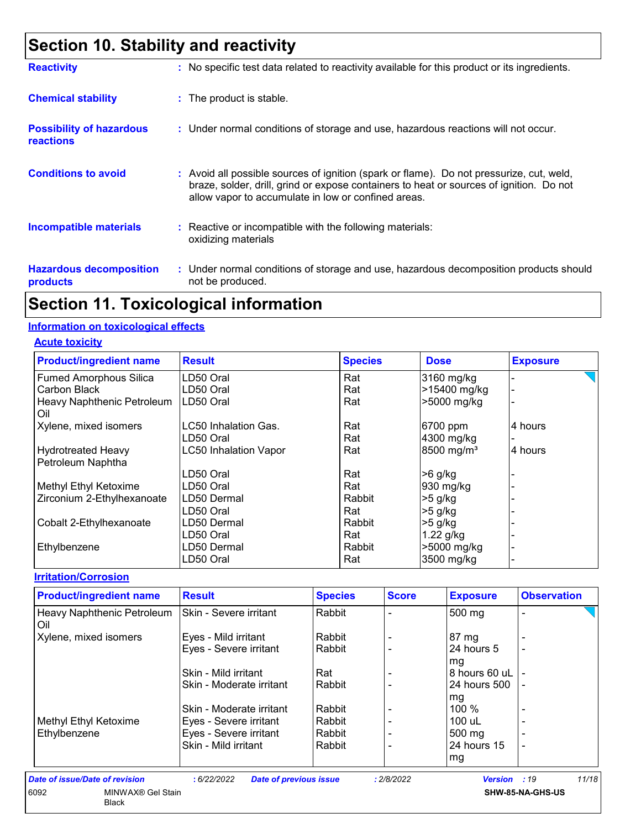### **Section 10. Stability and reactivity**

| <b>Reactivity</b>                                   | : No specific test data related to reactivity available for this product or its ingredients.                                                                                                                                               |
|-----------------------------------------------------|--------------------------------------------------------------------------------------------------------------------------------------------------------------------------------------------------------------------------------------------|
| <b>Chemical stability</b>                           | : The product is stable.                                                                                                                                                                                                                   |
| <b>Possibility of hazardous</b><br><b>reactions</b> | : Under normal conditions of storage and use, hazardous reactions will not occur.                                                                                                                                                          |
| <b>Conditions to avoid</b>                          | : Avoid all possible sources of ignition (spark or flame). Do not pressurize, cut, weld,<br>braze, solder, drill, grind or expose containers to heat or sources of ignition. Do not<br>allow vapor to accumulate in low or confined areas. |
| <b>Incompatible materials</b>                       | : Reactive or incompatible with the following materials:<br>oxidizing materials                                                                                                                                                            |
| <b>Hazardous decomposition</b><br>products          | : Under normal conditions of storage and use, hazardous decomposition products should<br>not be produced.                                                                                                                                  |

### **Section 11. Toxicological information**

#### **Information on toxicological effects**

**Acute toxicity**

| <b>Product/ingredient name</b>                 | <b>Result</b>                | <b>Species</b> | <b>Dose</b>            | <b>Exposure</b> |
|------------------------------------------------|------------------------------|----------------|------------------------|-----------------|
| <b>Fumed Amorphous Silica</b>                  | LD50 Oral                    | Rat            | 3160 mg/kg             |                 |
| Carbon Black                                   | LD50 Oral                    | Rat            | >15400 mg/kg           |                 |
| Heavy Naphthenic Petroleum<br>Oil              | LD50 Oral                    | Rat            | >5000 mg/kg            |                 |
| Xylene, mixed isomers                          | <b>LC50 Inhalation Gas.</b>  | Rat            | 6700 ppm               | 4 hours         |
|                                                | LD50 Oral                    | Rat            | 4300 mg/kg             |                 |
| <b>Hydrotreated Heavy</b><br>Petroleum Naphtha | <b>LC50 Inhalation Vapor</b> | Rat            | 8500 mg/m <sup>3</sup> | 4 hours         |
|                                                | LD50 Oral                    | Rat            | $>6$ g/kg              |                 |
| Methyl Ethyl Ketoxime                          | LD50 Oral                    | Rat            | 930 mg/kg              |                 |
| Zirconium 2-Ethylhexanoate                     | LD50 Dermal                  | Rabbit         | $>5$ g/kg              |                 |
|                                                | LD50 Oral                    | Rat            | $>5$ g/kg              |                 |
| Cobalt 2-Ethylhexanoate                        | LD50 Dermal                  | Rabbit         | $>5$ g/kg              |                 |
|                                                | LD50 Oral                    | Rat            | $1.22$ g/kg            |                 |
| Ethylbenzene                                   | LD50 Dermal                  | Rabbit         | >5000 mg/kg            |                 |
|                                                | LD50 Oral                    | Rat            | 3500 mg/kg             |                 |

#### **Irritation/Corrosion**

| <b>Product/ingredient name</b>    | <b>Result</b>            | <b>Species</b> | <b>Score</b> | <b>Exposure</b>  | <b>Observation</b>       |  |
|-----------------------------------|--------------------------|----------------|--------------|------------------|--------------------------|--|
| Heavy Naphthenic Petroleum<br>Oil | Skin - Severe irritant   | Rabbit         |              | 500 mg           |                          |  |
| Xylene, mixed isomers             | Eyes - Mild irritant     | Rabbit         |              | 87 mg            |                          |  |
|                                   | Eyes - Severe irritant   | Rabbit         |              | 24 hours 5       | -                        |  |
|                                   |                          |                |              | mg               |                          |  |
|                                   | Skin - Mild irritant     | Rat            |              | 8 hours 60 uL    |                          |  |
|                                   | Skin - Moderate irritant | Rabbit         |              | 24 hours 500     | $\overline{\phantom{a}}$ |  |
|                                   |                          |                |              | mg               |                          |  |
|                                   | Skin - Moderate irritant | Rabbit         |              | $100\%$          |                          |  |
| Methyl Ethyl Ketoxime             | Eyes - Severe irritant   | Rabbit         |              | 100 uL           |                          |  |
| Ethylbenzene                      | Eyes - Severe irritant   | Rabbit         |              | $500 \text{ mg}$ |                          |  |
|                                   | Skin - Mild irritant     | Rabbit         |              | 24 hours 15      | $\blacksquare$           |  |
|                                   |                          |                |              | mg               |                          |  |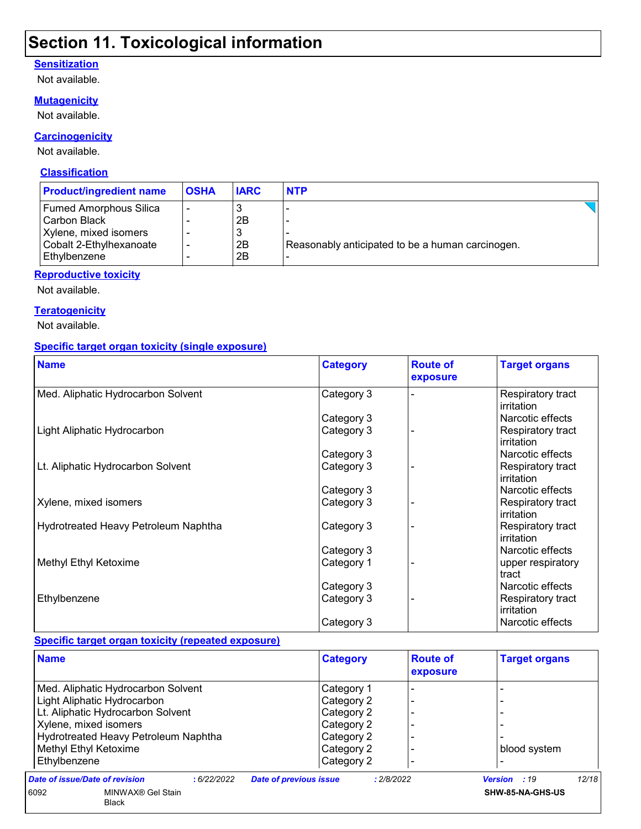### **Section 11. Toxicological information**

### **Sensitization**

Not available.

#### **Mutagenicity**

Not available.

#### **Carcinogenicity**

Not available.

#### **Classification**

| <b>Product/ingredient name</b>                                                                               | <b>OSHA</b> | <b>IARC</b>         | <b>NTP</b>                                       |  |
|--------------------------------------------------------------------------------------------------------------|-------------|---------------------|--------------------------------------------------|--|
| Fumed Amorphous Silica<br>l Carbon Black<br>Xylene, mixed isomers<br>Cobalt 2-Ethylhexanoate<br>Ethylbenzene | -<br>-      | 2Β<br>3<br>2B<br>2B | Reasonably anticipated to be a human carcinogen. |  |

### **Reproductive toxicity**

Not available.

### **Teratogenicity**

Not available.

#### **Specific target organ toxicity (single exposure)**

| <b>Name</b>                          | <b>Category</b> | <b>Route of</b><br>exposure | <b>Target organs</b>            |
|--------------------------------------|-----------------|-----------------------------|---------------------------------|
| Med. Aliphatic Hydrocarbon Solvent   | Category 3      |                             | Respiratory tract<br>irritation |
|                                      | Category 3      |                             | Narcotic effects                |
| Light Aliphatic Hydrocarbon          | Category 3      |                             | Respiratory tract<br>irritation |
|                                      | Category 3      |                             | Narcotic effects                |
| Lt. Aliphatic Hydrocarbon Solvent    | Category 3      |                             | Respiratory tract<br>irritation |
|                                      | Category 3      |                             | Narcotic effects                |
| Xylene, mixed isomers                | Category 3      |                             | Respiratory tract<br>irritation |
| Hydrotreated Heavy Petroleum Naphtha | Category 3      |                             | Respiratory tract<br>irritation |
|                                      | Category 3      |                             | Narcotic effects                |
| Methyl Ethyl Ketoxime                | Category 1      |                             | upper respiratory<br>tract      |
|                                      | Category 3      |                             | Narcotic effects                |
| Ethylbenzene                         | Category 3      |                             | Respiratory tract<br>irritation |
|                                      | Category 3      |                             | Narcotic effects                |

### **Specific target organ toxicity (repeated exposure)**

| <b>Name</b>                                  | <b>Category</b>                             | <b>Route of</b><br>exposure | <b>Target organs</b>  |
|----------------------------------------------|---------------------------------------------|-----------------------------|-----------------------|
| Med. Aliphatic Hydrocarbon Solvent           | Category 1                                  |                             |                       |
| Light Aliphatic Hydrocarbon                  | Category 2                                  |                             |                       |
| Lt. Aliphatic Hydrocarbon Solvent            | Category 2                                  |                             |                       |
| Xylene, mixed isomers                        | Category 2                                  |                             |                       |
| Hydrotreated Heavy Petroleum Naphtha         | Category 2                                  |                             |                       |
| Methyl Ethyl Ketoxime                        | Category 2                                  |                             | blood system          |
| Ethylbenzene                                 | Category 2                                  |                             |                       |
| Date of issue/Date of revision<br>:6/22/2022 | <b>Date of previous issue</b><br>: 2/8/2022 |                             | 12/18<br>Version : 19 |
| 6092<br>MINWAX® Gel Stain<br><b>Black</b>    |                                             |                             | SHW-85-NA-GHS-US      |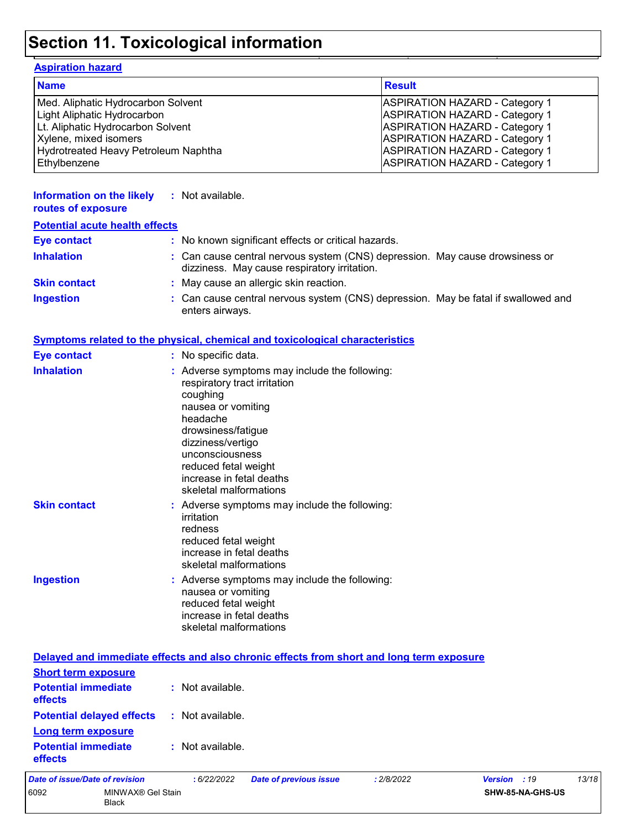## **Section 11. Toxicological information**

#### **Aspiration hazard**

Black

| <b>Name</b>                          | <b>Result</b>                         |
|--------------------------------------|---------------------------------------|
| Med. Aliphatic Hydrocarbon Solvent   | <b>ASPIRATION HAZARD - Category 1</b> |
| Light Aliphatic Hydrocarbon          | <b>ASPIRATION HAZARD - Category 1</b> |
| Lt. Aliphatic Hydrocarbon Solvent    | <b>ASPIRATION HAZARD - Category 1</b> |
| Xylene, mixed isomers                | <b>ASPIRATION HAZARD - Category 1</b> |
| Hydrotreated Heavy Petroleum Naphtha | <b>ASPIRATION HAZARD - Category 1</b> |
| Ethylbenzene                         | <b>ASPIRATION HAZARD - Category 1</b> |

| <b>Information on the likely</b><br>routes of exposure | : Not available.                                                                                                                                                                                                                                                        |
|--------------------------------------------------------|-------------------------------------------------------------------------------------------------------------------------------------------------------------------------------------------------------------------------------------------------------------------------|
| <b>Potential acute health effects</b>                  |                                                                                                                                                                                                                                                                         |
| <b>Eye contact</b>                                     | : No known significant effects or critical hazards.                                                                                                                                                                                                                     |
| <b>Inhalation</b>                                      | : Can cause central nervous system (CNS) depression. May cause drowsiness or<br>dizziness. May cause respiratory irritation.                                                                                                                                            |
| <b>Skin contact</b>                                    | : May cause an allergic skin reaction.                                                                                                                                                                                                                                  |
| <b>Ingestion</b>                                       | : Can cause central nervous system (CNS) depression. May be fatal if swallowed and<br>enters airways.                                                                                                                                                                   |
|                                                        | <b>Symptoms related to the physical, chemical and toxicological characteristics</b>                                                                                                                                                                                     |
| <b>Eye contact</b>                                     | : No specific data.                                                                                                                                                                                                                                                     |
| <b>Inhalation</b>                                      | : Adverse symptoms may include the following:<br>respiratory tract irritation<br>coughing<br>nausea or vomiting<br>headache<br>drowsiness/fatigue<br>dizziness/vertigo<br>unconsciousness<br>reduced fetal weight<br>increase in fetal deaths<br>skeletal malformations |
| <b>Skin contact</b>                                    | : Adverse symptoms may include the following:<br>irritation<br>redness<br>reduced fetal weight<br>increase in fetal deaths<br>skeletal malformations                                                                                                                    |
| <b>Ingestion</b>                                       | : Adverse symptoms may include the following:<br>nausea or vomiting<br>reduced fetal weight<br>increase in fetal deaths<br>skeletal malformations                                                                                                                       |
|                                                        | Delayed and immediate effects and also chronic effects from short and long term exposure                                                                                                                                                                                |

| 6092                                                                | MINWAX® Gel Stain |                  |                               |            |              | SHW-85-NA-GHS-US |       |
|---------------------------------------------------------------------|-------------------|------------------|-------------------------------|------------|--------------|------------------|-------|
| Date of issue/Date of revision                                      |                   | :6/22/2022       | <b>Date of previous issue</b> | : 2/8/2022 | Version : 19 |                  | 13/18 |
| <b>Potential immediate</b><br><b>effects</b>                        |                   | : Not available. |                               |            |              |                  |       |
| <b>Potential delayed effects</b><br>Long term exposure              |                   | : Not available. |                               |            |              |                  |       |
| <b>Short term exposure</b><br><b>Potential immediate</b><br>effects |                   | : Not available. |                               |            |              |                  |       |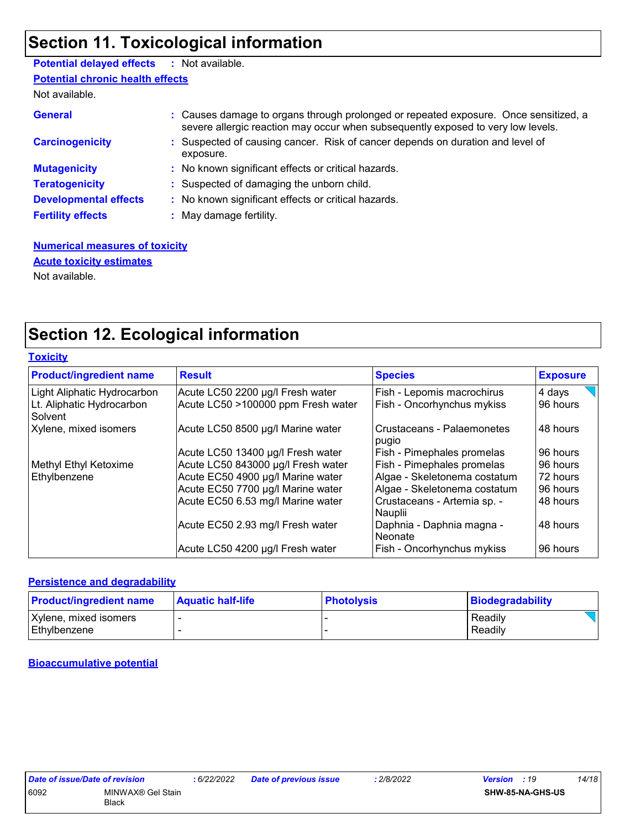### **Section 11. Toxicological information**

| <b>Potential delayed effects : Not available.</b> |                                                                                                                                                                          |
|---------------------------------------------------|--------------------------------------------------------------------------------------------------------------------------------------------------------------------------|
| <b>Potential chronic health effects</b>           |                                                                                                                                                                          |
| Not available.                                    |                                                                                                                                                                          |
| <b>General</b>                                    | : Causes damage to organs through prolonged or repeated exposure. Once sensitized, a<br>severe allergic reaction may occur when subsequently exposed to very low levels. |
| <b>Carcinogenicity</b>                            | : Suspected of causing cancer. Risk of cancer depends on duration and level of<br>exposure.                                                                              |
| <b>Mutagenicity</b>                               | : No known significant effects or critical hazards.                                                                                                                      |
| <b>Teratogenicity</b>                             | : Suspected of damaging the unborn child.                                                                                                                                |
| <b>Developmental effects</b>                      | : No known significant effects or critical hazards.                                                                                                                      |
| <b>Fertility effects</b>                          | : May damage fertility.                                                                                                                                                  |
|                                                   |                                                                                                                                                                          |

**Numerical measures of toxicity** Not available. **Acute toxicity estimates**

### **Section 12. Ecological information**

|  |  | <b>Toxicity</b> |  |  |  |
|--|--|-----------------|--|--|--|
|--|--|-----------------|--|--|--|

| <b>Product/ingredient name</b>       | <b>Result</b>                      | <b>Species</b>                              | <b>Exposure</b> |
|--------------------------------------|------------------------------------|---------------------------------------------|-----------------|
| Light Aliphatic Hydrocarbon          | Acute LC50 2200 µg/l Fresh water   | Fish - Lepomis macrochirus                  | 4 days          |
| Lt. Aliphatic Hydrocarbon<br>Solvent | Acute LC50 >100000 ppm Fresh water | Fish - Oncorhynchus mykiss                  | 96 hours        |
| Xylene, mixed isomers                | Acute LC50 8500 µg/l Marine water  | Crustaceans - Palaemonetes<br>pugio         | 48 hours        |
|                                      | Acute LC50 13400 µg/l Fresh water  | Fish - Pimephales promelas                  | 96 hours        |
| Methyl Ethyl Ketoxime                | Acute LC50 843000 µg/l Fresh water | Fish - Pimephales promelas                  | 96 hours        |
| Ethylbenzene                         | Acute EC50 4900 µg/l Marine water  | Algae - Skeletonema costatum                | 72 hours        |
|                                      | Acute EC50 7700 µg/l Marine water  | Algae - Skeletonema costatum                | 96 hours        |
|                                      | Acute EC50 6.53 mg/l Marine water  | Crustaceans - Artemia sp. -<br>Nauplii      | 48 hours        |
|                                      | Acute EC50 2.93 mg/l Fresh water   | Daphnia - Daphnia magna -<br><b>Neonate</b> | 48 hours        |
|                                      | Acute LC50 4200 µg/l Fresh water   | Fish - Oncorhynchus mykiss                  | 96 hours        |

#### **Persistence and degradability**

| <b>Product/ingredient name</b> | <b>Aquatic half-life</b> | <b>Photolysis</b> | <b>Biodegradability</b> |
|--------------------------------|--------------------------|-------------------|-------------------------|
| Xylene, mixed isomers          |                          |                   | Readily                 |
| Ethylbenzene                   |                          |                   | Readily                 |

**Bioaccumulative potential**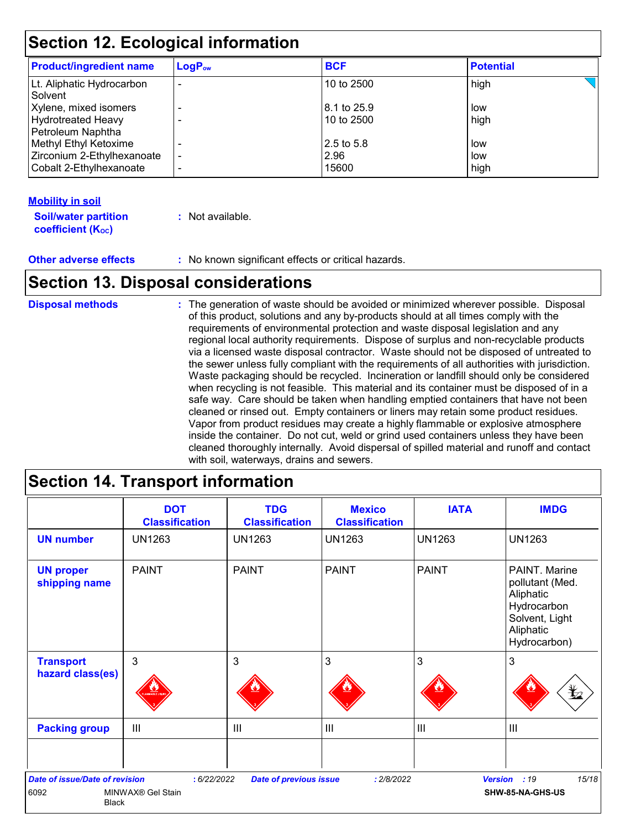### **Section 12. Ecological information**

| <b>Product/ingredient name</b>                                           | $LogP_{ow}$ | <b>BCF</b>                | <b>Potential</b> |  |
|--------------------------------------------------------------------------|-------------|---------------------------|------------------|--|
| Lt. Aliphatic Hydrocarbon<br>Solvent                                     |             | 10 to 2500                | high             |  |
| Xylene, mixed isomers<br>Hydrotreated Heavy                              |             | 8.1 to 25.9<br>10 to 2500 | low<br>high      |  |
| Petroleum Naphtha<br>Methyl Ethyl Ketoxime<br>Zirconium 2-Ethylhexanoate |             | 2.5 to 5.8<br>2.96        | low<br>low       |  |
| Cobalt 2-Ethylhexanoate                                                  |             | 15600                     | high             |  |

### **Mobility in soil**

| <b>Soil/water partition</b> | : Not available. |
|-----------------------------|------------------|
| <b>coefficient (Koc)</b>    |                  |

**Other adverse effects** : No known significant effects or critical hazards.

### **Section 13. Disposal considerations**

| <b>Disposal methods</b> | : The generation of waste should be avoided or minimized wherever possible. Disposal<br>of this product, solutions and any by-products should at all times comply with the<br>requirements of environmental protection and waste disposal legislation and any<br>regional local authority requirements. Dispose of surplus and non-recyclable products<br>via a licensed waste disposal contractor. Waste should not be disposed of untreated to<br>the sewer unless fully compliant with the requirements of all authorities with jurisdiction.<br>Waste packaging should be recycled. Incineration or landfill should only be considered<br>when recycling is not feasible. This material and its container must be disposed of in a<br>safe way. Care should be taken when handling emptied containers that have not been<br>cleaned or rinsed out. Empty containers or liners may retain some product residues.<br>Vapor from product residues may create a highly flammable or explosive atmosphere<br>inside the container. Do not cut, weld or grind used containers unless they have been<br>cleaned thoroughly internally. Avoid dispersal of spilled material and runoff and contact |
|-------------------------|------------------------------------------------------------------------------------------------------------------------------------------------------------------------------------------------------------------------------------------------------------------------------------------------------------------------------------------------------------------------------------------------------------------------------------------------------------------------------------------------------------------------------------------------------------------------------------------------------------------------------------------------------------------------------------------------------------------------------------------------------------------------------------------------------------------------------------------------------------------------------------------------------------------------------------------------------------------------------------------------------------------------------------------------------------------------------------------------------------------------------------------------------------------------------------------------|
|                         | with soil, waterways, drains and sewers.                                                                                                                                                                                                                                                                                                                                                                                                                                                                                                                                                                                                                                                                                                                                                                                                                                                                                                                                                                                                                                                                                                                                                       |

## **Section 14. Transport information**

|                                                               | <b>DOT</b><br><b>Classification</b> | <b>TDG</b><br><b>Classification</b> | <b>Mexico</b><br><b>Classification</b> | <b>IATA</b>    | <b>IMDG</b>                                                                                                 |
|---------------------------------------------------------------|-------------------------------------|-------------------------------------|----------------------------------------|----------------|-------------------------------------------------------------------------------------------------------------|
| <b>UN number</b>                                              | <b>UN1263</b>                       | <b>UN1263</b>                       | <b>UN1263</b>                          | <b>UN1263</b>  | <b>UN1263</b>                                                                                               |
| <b>UN proper</b><br>shipping name                             | <b>PAINT</b>                        | <b>PAINT</b>                        | <b>PAINT</b>                           | <b>PAINT</b>   | PAINT, Marine<br>pollutant (Med.<br>Aliphatic<br>Hydrocarbon<br>Solvent, Light<br>Aliphatic<br>Hydrocarbon) |
| <b>Transport</b>                                              | 3                                   | 3                                   | 3                                      | 3              | $\mathbf{3}$                                                                                                |
| hazard class(es)                                              |                                     |                                     |                                        |                | $\bigstar$                                                                                                  |
| <b>Packing group</b>                                          | $\mathbf{III}$                      | III                                 | $\mathbf{III}$                         | $\mathbf{III}$ | $\mathbf{III}$                                                                                              |
|                                                               |                                     |                                     |                                        |                |                                                                                                             |
| <b>Date of issue/Date of revision</b><br>6092<br><b>Black</b> | : 6/22/2022<br>MINWAX® Gel Stain    | <b>Date of previous issue</b>       | : 2/8/2022                             |                | 15/18<br>Version : 19<br>SHW-85-NA-GHS-US                                                                   |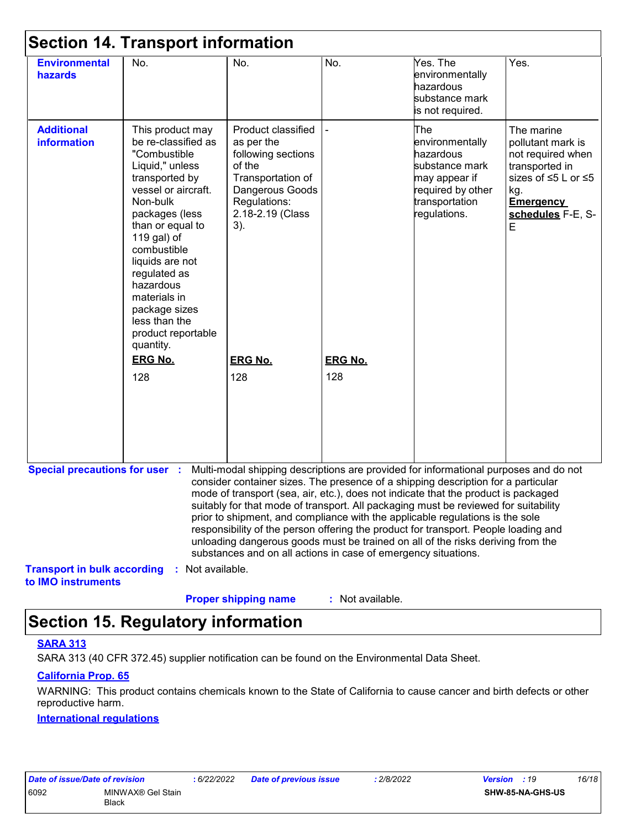| <b>Environmental</b><br>hazards         | No.                                                                                                                                                                                                                                                                                                                                                        | No.                                                                                                                                                                   | No.            | Yes. The<br>environmentally<br>hazardous<br>substance mark<br>is not required.                                                                                                                                                                                                                                                                                                                                                                                                                                                                                                                                    | Yes.                                                                                                                                        |
|-----------------------------------------|------------------------------------------------------------------------------------------------------------------------------------------------------------------------------------------------------------------------------------------------------------------------------------------------------------------------------------------------------------|-----------------------------------------------------------------------------------------------------------------------------------------------------------------------|----------------|-------------------------------------------------------------------------------------------------------------------------------------------------------------------------------------------------------------------------------------------------------------------------------------------------------------------------------------------------------------------------------------------------------------------------------------------------------------------------------------------------------------------------------------------------------------------------------------------------------------------|---------------------------------------------------------------------------------------------------------------------------------------------|
| <b>Additional</b><br><b>information</b> | This product may<br>be re-classified as<br>"Combustible<br>Liquid," unless<br>transported by<br>vessel or aircraft.<br>Non-bulk<br>packages (less<br>than or equal to<br>119 gal) of<br>combustible<br>liquids are not<br>regulated as<br>hazardous<br>materials in<br>package sizes<br>less than the<br>product reportable<br>quantity.<br><b>ERG No.</b> | Product classified<br>as per the<br>following sections<br>of the<br>Transportation of<br>Dangerous Goods<br>Regulations:<br>2.18-2.19 (Class<br>3).<br><b>ERG No.</b> | <b>ERG No.</b> | The<br>environmentally<br>hazardous<br>substance mark<br>may appear if<br>required by other<br>transportation<br>regulations.                                                                                                                                                                                                                                                                                                                                                                                                                                                                                     | The marine<br>pollutant mark is<br>not required when<br>transported in<br>sizes of ≤5 L or ≤5<br>kg.<br>Emergency<br>schedules F-E, S-<br>Е |
|                                         | 128                                                                                                                                                                                                                                                                                                                                                        | 128                                                                                                                                                                   | 128            |                                                                                                                                                                                                                                                                                                                                                                                                                                                                                                                                                                                                                   |                                                                                                                                             |
| <b>Special precautions for user :</b>   |                                                                                                                                                                                                                                                                                                                                                            | substances and on all actions in case of emergency situations.                                                                                                        |                | Multi-modal shipping descriptions are provided for informational purposes and do not<br>consider container sizes. The presence of a shipping description for a particular<br>mode of transport (sea, air, etc.), does not indicate that the product is packaged<br>suitably for that mode of transport. All packaging must be reviewed for suitability<br>prior to shipment, and compliance with the applicable regulations is the sole<br>responsibility of the person offering the product for transport. People loading and<br>unloading dangerous goods must be trained on all of the risks deriving from the |                                                                                                                                             |
| <b>Transport in bulk according</b>      | : Not available.                                                                                                                                                                                                                                                                                                                                           |                                                                                                                                                                       |                |                                                                                                                                                                                                                                                                                                                                                                                                                                                                                                                                                                                                                   |                                                                                                                                             |

### **Section 15. Regulatory information**

#### **SARA 313**

SARA 313 (40 CFR 372.45) supplier notification can be found on the Environmental Data Sheet.

### **California Prop. 65**

WARNING: This product contains chemicals known to the State of California to cause cancer and birth defects or other reproductive harm.

#### **International regulations**

| Date of issue/Date of revision | :6/22             |  |
|--------------------------------|-------------------|--|
| 6092                           | MINWAX® Gel Stain |  |
|                                | <b>Black</b>      |  |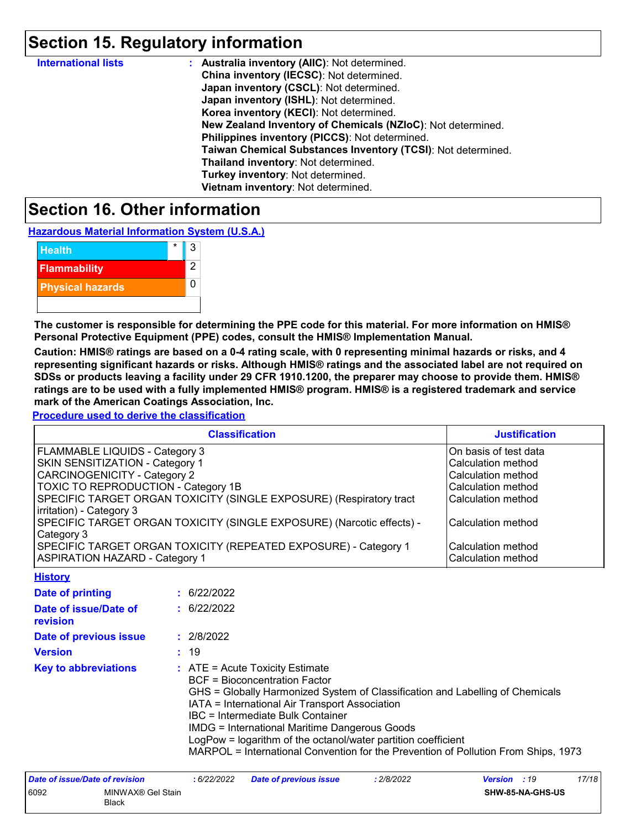### **Section 15. Regulatory information**

| <b>International lists</b> | : Australia inventory (AIIC): Not determined.                |
|----------------------------|--------------------------------------------------------------|
|                            | China inventory (IECSC): Not determined.                     |
|                            | Japan inventory (CSCL): Not determined.                      |
|                            | Japan inventory (ISHL): Not determined.                      |
|                            | Korea inventory (KECI): Not determined.                      |
|                            | New Zealand Inventory of Chemicals (NZIoC): Not determined.  |
|                            | Philippines inventory (PICCS): Not determined.               |
|                            | Taiwan Chemical Substances Inventory (TCSI): Not determined. |
|                            | Thailand inventory: Not determined.                          |
|                            | Turkey inventory: Not determined.                            |
|                            | Vietnam inventory: Not determined.                           |

### **Section 16. Other information**

**Hazardous Material Information System (U.S.A.)**



**The customer is responsible for determining the PPE code for this material. For more information on HMIS® Personal Protective Equipment (PPE) codes, consult the HMIS® Implementation Manual.**

**Caution: HMIS® ratings are based on a 0-4 rating scale, with 0 representing minimal hazards or risks, and 4 representing significant hazards or risks. Although HMIS® ratings and the associated label are not required on SDSs or products leaving a facility under 29 CFR 1910.1200, the preparer may choose to provide them. HMIS® ratings are to be used with a fully implemented HMIS® program. HMIS® is a registered trademark and service mark of the American Coatings Association, Inc.**

**Procedure used to derive the classification**

| <b>Classification</b>                                                               | <b>Justification</b>      |
|-------------------------------------------------------------------------------------|---------------------------|
| <b>FLAMMABLE LIQUIDS - Category 3</b>                                               | On basis of test data     |
| <b>SKIN SENSITIZATION - Category 1</b>                                              | Calculation method        |
| CARCINOGENICITY - Category 2                                                        | Calculation method        |
| TOXIC TO REPRODUCTION - Category 1B                                                 | <b>Calculation method</b> |
| SPECIFIC TARGET ORGAN TOXICITY (SINGLE EXPOSURE) (Respiratory tract                 | <b>Calculation method</b> |
| irritation) - Category 3                                                            |                           |
| SPECIFIC TARGET ORGAN TOXICITY (SINGLE EXPOSURE) (Narcotic effects) -<br>Category 3 | Calculation method        |
| SPECIFIC TARGET ORGAN TOXICITY (REPEATED EXPOSURE) - Category 1                     | Calculation method        |
| <b>ASPIRATION HAZARD - Category 1</b>                                               | Calculation method        |
| <b><i>B. R. R. A. H. Lewis Co.</i></b>                                              |                           |

| <u> FIBIOLA</u>                   |                                                                                                                                                                                                                                                                                                                                                                                                                                                                           |
|-----------------------------------|---------------------------------------------------------------------------------------------------------------------------------------------------------------------------------------------------------------------------------------------------------------------------------------------------------------------------------------------------------------------------------------------------------------------------------------------------------------------------|
| Date of printing                  | : 6/22/2022                                                                                                                                                                                                                                                                                                                                                                                                                                                               |
| Date of issue/Date of<br>revision | : 6/22/2022                                                                                                                                                                                                                                                                                                                                                                                                                                                               |
| Date of previous issue            | : 2/8/2022                                                                                                                                                                                                                                                                                                                                                                                                                                                                |
| <b>Version</b>                    | : 19                                                                                                                                                                                                                                                                                                                                                                                                                                                                      |
| <b>Key to abbreviations</b>       | $\therefore$ ATE = Acute Toxicity Estimate<br><b>BCF</b> = Bioconcentration Factor<br>GHS = Globally Harmonized System of Classification and Labelling of Chemicals<br>IATA = International Air Transport Association<br><b>IBC</b> = Intermediate Bulk Container<br>IMDG = International Maritime Dangerous Goods<br>LogPow = logarithm of the octanol/water partition coefficient<br>MARPOL = International Convention for the Prevention of Pollution From Ships, 1973 |

| Date of issue/Date of revision |                                   | : 6/22/2022 | <b>Date of previous issue</b> | .2/8/2022 | 17/18<br><b>Version</b> : 19 |
|--------------------------------|-----------------------------------|-------------|-------------------------------|-----------|------------------------------|
| 6092                           | MINWAX® Gel Stain<br><b>Black</b> |             |                               |           | <b>SHW-85-NA-GHS-US</b>      |